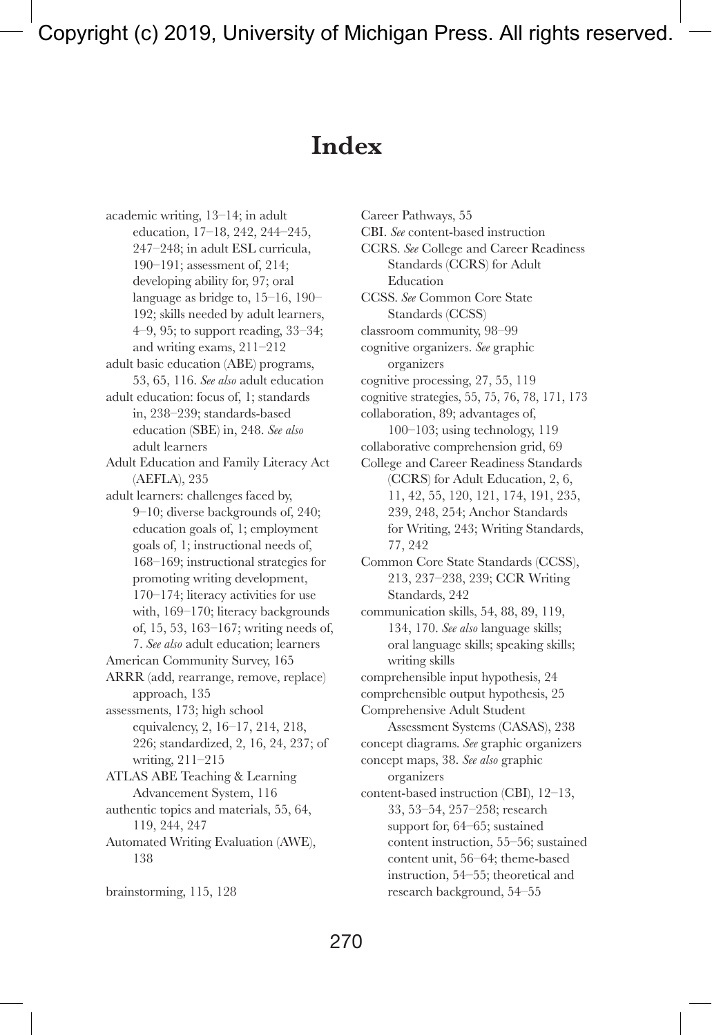# **Index**

academic writing, 13–14; in adult education, 17–18, 242, 244–245, 247–248; in adult ESL curricula, 190–191; assessment of, 214; developing ability for, 97; oral language as bridge to, 15–16, 190– 192; skills needed by adult learners, 4–9, 95; to support reading, 33–34; and writing exams, 211–212 adult basic education (ABE) programs, 53, 65, 116. *See also* adult education adult education: focus of, 1; standards in, 238–239; standards-based education (SBE) in, 248. *See also* adult learners Adult Education and Family Literacy Act (AEFLA), 235 adult learners: challenges faced by, 9–10; diverse backgrounds of, 240; education goals of, 1; employment goals of, 1; instructional needs of, 168–169; instructional strategies for promoting writing development, 170–174; literacy activities for use with, 169–170; literacy backgrounds of, 15, 53, 163–167; writing needs of, 7. *See also* adult education; learners American Community Survey, 165 ARRR (add, rearrange, remove, replace) approach, 135 assessments, 173; high school equivalency, 2, 16–17, 214, 218, 226; standardized, 2, 16, 24, 237; of writing, 211–215 ATLAS ABE Teaching & Learning Advancement System, 116 authentic topics and materials, 55, 64, 119, 244, 247 Automated Writing Evaluation (AWE), 138 brainstorming, 115, 128

Career Pathways, 55 CBI. *See* content-based instruction CCRS. *See* College and Career Readiness Standards (CCRS) for Adult Education CCSS. *See* Common Core State Standards (CCSS) classroom community, 98–99 cognitive organizers. *See* graphic organizers cognitive processing, 27, 55, 119 cognitive strategies, 55, 75, 76, 78, 171, 173 collaboration, 89; advantages of, 100–103; using technology, 119 collaborative comprehension grid, 69 College and Career Readiness Standards (CCRS) for Adult Education, 2, 6, 11, 42, 55, 120, 121, 174, 191, 235, 239, 248, 254; Anchor Standards for Writing, 243; Writing Standards, 77, 242 Common Core State Standards (CCSS), 213, 237–238, 239; CCR Writing Standards, 242 communication skills, 54, 88, 89, 119, 134, 170. *See also* language skills; oral language skills; speaking skills; writing skills comprehensible input hypothesis, 24 comprehensible output hypothesis, 25 Comprehensive Adult Student Assessment Systems (CASAS), 238 concept diagrams. *See* graphic organizers concept maps, 38. *See also* graphic organizers content-based instruction (CBI), 12–13, 33, 53–54, 257–258; research support for, 64–65; sustained content instruction, 55–56; sustained content unit, 56–64; theme-based instruction, 54–55; theoretical and research background, 54–55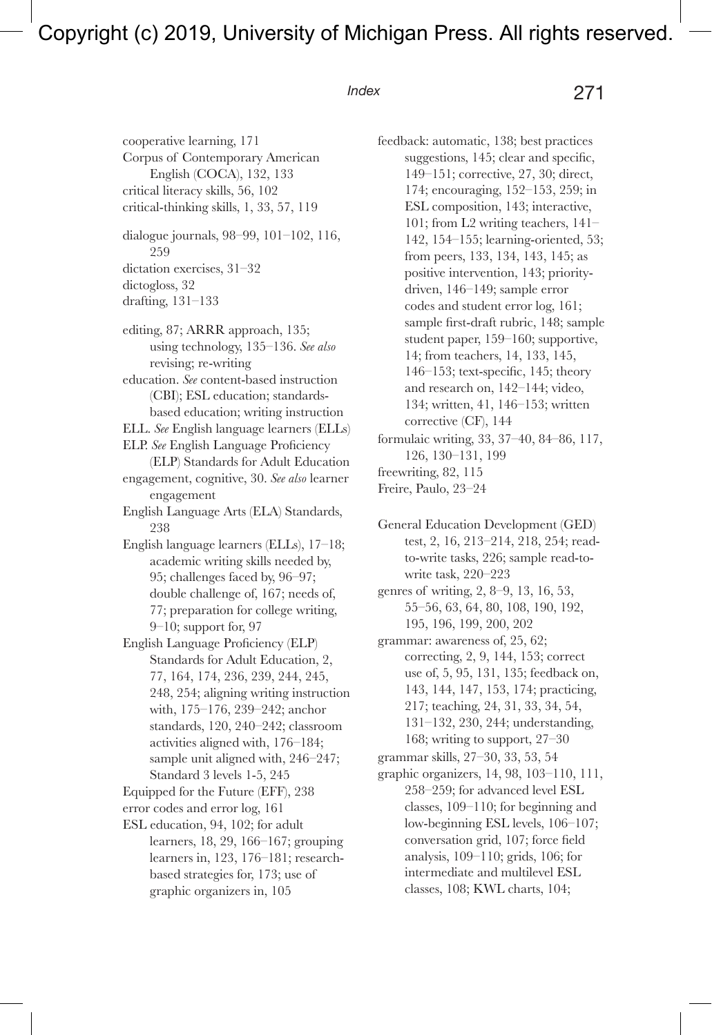cooperative learning, 171 Corpus of Contemporary American English (COCA), 132, 133 critical literacy skills, 56, 102 critical-thinking skills, 1, 33, 57, 119

dialogue journals, 98–99, 101–102, 116, 259 dictation exercises, 31–32

dictogloss, 32

drafting, 131–133

editing, 87; ARRR approach, 135; using technology, 135–136. *See also* revising; re-writing education. *See* content-based instruction (CBI); ESL education; standardsbased education; writing instruction ELL. *See* English language learners (ELLs) ELP. *See* English Language Proficiency (ELP) Standards for Adult Education engagement, cognitive, 30. *See also* learner engagement English Language Arts (ELA) Standards, 238 English language learners (ELLs), 17–18; academic writing skills needed by, 95; challenges faced by, 96–97; double challenge of, 167; needs of, 77; preparation for college writing,

- English Language Proficiency (ELP) Standards for Adult Education, 2, 77, 164, 174, 236, 239, 244, 245, 248, 254; aligning writing instruction with, 175–176, 239–242; anchor standards, 120, 240–242; classroom activities aligned with, 176–184; sample unit aligned with, 246–247; Standard 3 levels 1-5, 245
- Equipped for the Future (EFF), 238

error codes and error log, 161

9–10; support for, 97

ESL education, 94, 102; for adult learners, 18, 29, 166–167; grouping learners in, 123, 176–181; researchbased strategies for, 173; use of graphic organizers in, 105

feedback: automatic, 138; best practices suggestions, 145; clear and specific, 149–151; corrective, 27, 30; direct, 174; encouraging, 152–153, 259; in ESL composition, 143; interactive, 101; from L2 writing teachers, 141– 142, 154–155; learning-oriented, 53; from peers, 133, 134, 143, 145; as positive intervention, 143; prioritydriven, 146–149; sample error codes and student error log, 161; sample first-draft rubric, 148; sample student paper, 159–160; supportive, 14; from teachers, 14, 133, 145, 146–153; text-specific, 145; theory and research on, 142–144; video, 134; written, 41, 146–153; written corrective (CF), 144

formulaic writing, 33, 37–40, 84–86, 117, 126, 130–131, 199 freewriting, 82, 115

Freire, Paulo, 23–24

General Education Development (GED) test, 2, 16, 213–214, 218, 254; readto-write tasks, 226; sample read-towrite task, 220–223

genres of writing, 2, 8–9, 13, 16, 53, 55–56, 63, 64, 80, 108, 190, 192, 195, 196, 199, 200, 202

grammar: awareness of, 25, 62; correcting, 2, 9, 144, 153; correct use of, 5, 95, 131, 135; feedback on, 143, 144, 147, 153, 174; practicing, 217; teaching, 24, 31, 33, 34, 54, 131–132, 230, 244; understanding, 168; writing to support, 27–30

grammar skills, 27–30, 33, 53, 54

graphic organizers, 14, 98, 103–110, 111, 258–259; for advanced level ESL classes, 109–110; for beginning and low-beginning ESL levels, 106–107; conversation grid, 107; force field analysis, 109–110; grids, 106; for intermediate and multilevel ESL classes, 108; KWL charts, 104;

# *Index* 271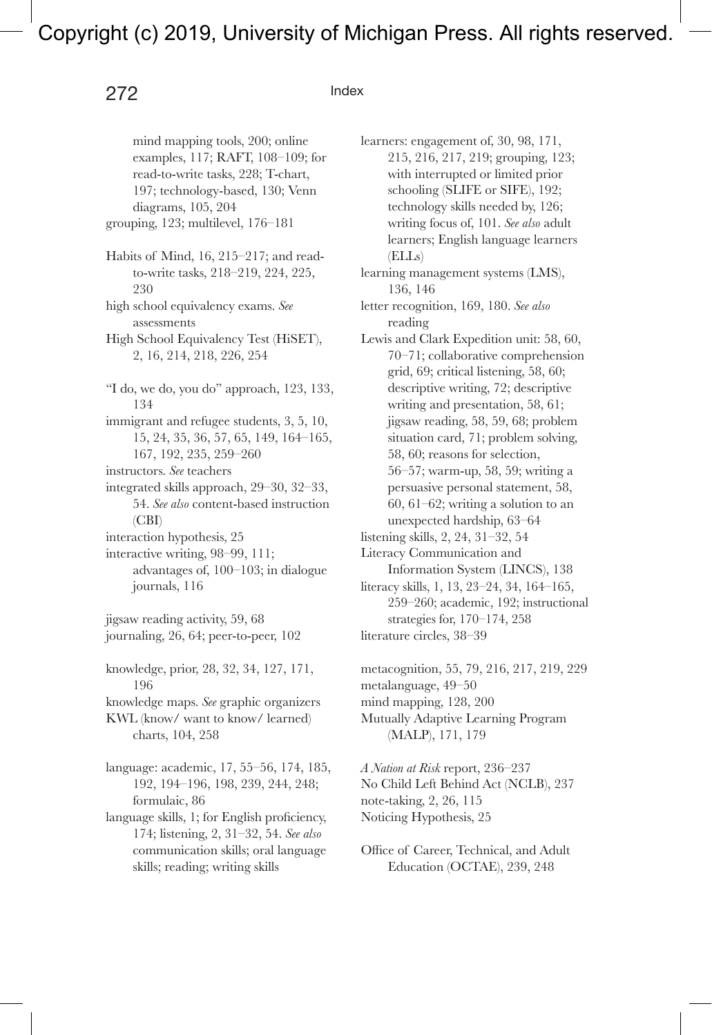#### 272 Index

examples, 117; RAFT, 108–109; for read-to-write tasks, 228; T-chart, 197; technology-based, 130; Venn diagrams, 105, 204 grouping, 123; multilevel, 176–181 Habits of Mind, 16, 215–217; and readto-write tasks, 218–219, 224, 225, 230 high school equivalency exams. *See* assessments High School Equivalency Test (HiSET), 2, 16, 214, 218, 226, 254 "I do, we do, you do" approach, 123, 133, 134 immigrant and refugee students, 3, 5, 10, 15, 24, 35, 36, 57, 65, 149, 164–165, 167, 192, 235, 259–260 instructors. *See* teachers integrated skills approach, 29–30, 32–33, 54. *See also* content-based instruction (CBI) interaction hypothesis, 25 interactive writing, 98–99, 111; advantages of, 100–103; in dialogue journals, 116 jigsaw reading activity, 59, 68 journaling, 26, 64; peer-to-peer, 102 knowledge, prior, 28, 32, 34, 127, 171, 196 knowledge maps. *See* graphic organizers

mind mapping tools, 200; online

KWL (know/ want to know/ learned) charts, 104, 258

language: academic, 17, 55–56, 174, 185, 192, 194–196, 198, 239, 244, 248; formulaic, 86

language skills, 1; for English proficiency, 174; listening, 2, 31–32, 54. *See also* communication skills; oral language skills; reading; writing skills

learners: engagement of, 30, 98, 171, 215, 216, 217, 219; grouping, 123; with interrupted or limited prior schooling (SLIFE or SIFE), 192; technology skills needed by, 126; writing focus of, 101. *See also* adult learners; English language learners (ELLs) learning management systems (LMS), 136, 146 letter recognition, 169, 180. *See also* reading Lewis and Clark Expedition unit: 58, 60, 70–71; collaborative comprehension grid, 69; critical listening, 58, 60; descriptive writing, 72; descriptive writing and presentation, 58, 61; jigsaw reading, 58, 59, 68; problem situation card, 71; problem solving, 58, 60; reasons for selection, 56–57; warm-up, 58, 59; writing a persuasive personal statement, 58, 60, 61–62; writing a solution to an unexpected hardship, 63–64 listening skills, 2, 24, 31–32, 54 Literacy Communication and Information System (LINCS), 138 literacy skills, 1, 13, 23–24, 34, 164–165, 259–260; academic, 192; instructional strategies for, 170–174, 258 literature circles, 38–39

metacognition, 55, 79, 216, 217, 219, 229 metalanguage, 49–50 mind mapping, 128, 200 Mutually Adaptive Learning Program (MALP), 171, 179

*A Nation at Risk* report, 236–237 No Child Left Behind Act (NCLB), 237 note-taking, 2, 26, 115 Noticing Hypothesis, 25

Office of Career, Technical, and Adult Education (OCTAE), 239, 248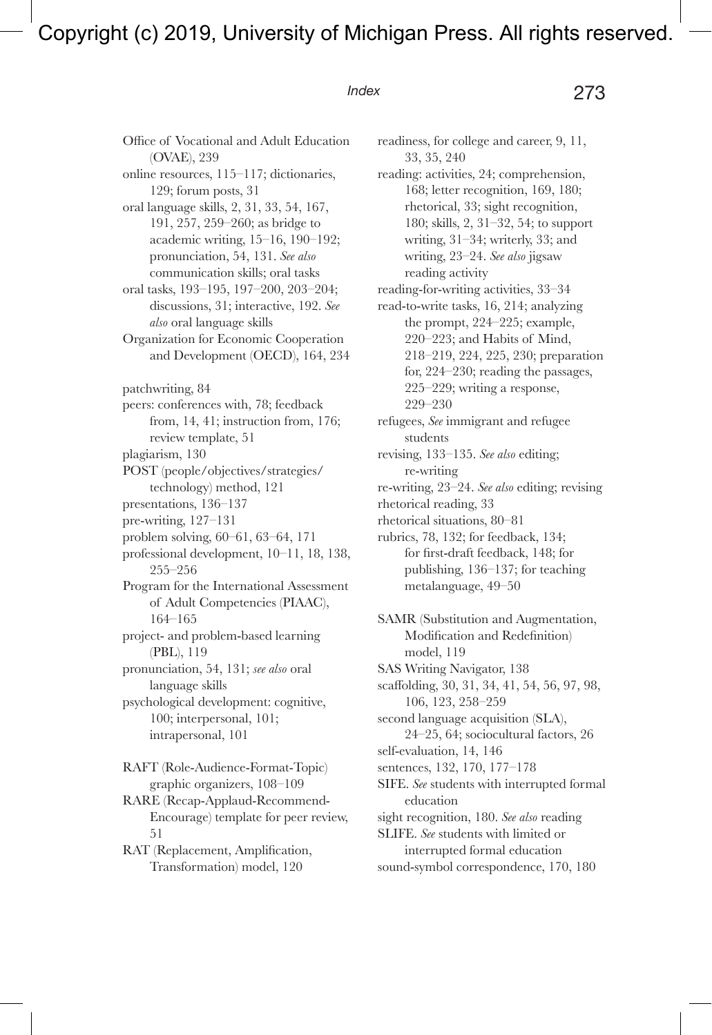*Index* 273

Office of Vocational and Adult Education (OVAE), 239 online resources, 115–117; dictionaries, 129; forum posts, 31 oral language skills, 2, 31, 33, 54, 167, 191, 257, 259–260; as bridge to academic writing, 15–16, 190–192; pronunciation, 54, 131. *See also* communication skills; oral tasks oral tasks, 193–195, 197–200, 203–204; discussions, 31; interactive, 192. *See also* oral language skills Organization for Economic Cooperation and Development (OECD), 164, 234 patchwriting, 84 peers: conferences with, 78; feedback from, 14, 41; instruction from, 176; review template, 51 plagiarism, 130 POST (people/objectives/strategies/ technology) method, 121 presentations, 136–137 pre-writing, 127–131 problem solving, 60–61, 63–64, 171 professional development, 10–11, 18, 138, 255–256 Program for the International Assessment of Adult Competencies (PIAAC), 164–165 project- and problem-based learning (PBL), 119 pronunciation, 54, 131; *see also* oral language skills psychological development: cognitive, 100; interpersonal, 101; intrapersonal, 101 RAFT (Role-Audience-Format-Topic) graphic organizers, 108–109 RARE (Recap-Applaud-Recommend-Encourage) template for peer review, 51

RAT (Replacement, Amplification, Transformation) model, 120

readiness, for college and career, 9, 11, 33, 35, 240 reading: activities, 24; comprehension, 168; letter recognition, 169, 180; rhetorical, 33; sight recognition, 180; skills, 2, 31–32, 54; to support writing, 31–34; writerly, 33; and writing, 23–24. *See also* jigsaw reading activity reading-for-writing activities, 33–34 read-to-write tasks, 16, 214; analyzing the prompt, 224–225; example, 220–223; and Habits of Mind, 218–219, 224, 225, 230; preparation for, 224–230; reading the passages, 225–229; writing a response, 229–230 refugees, *See* immigrant and refugee students revising, 133–135. *See also* editing;

re-writing

re-writing, 23–24. *See also* editing; revising rhetorical reading, 33

rhetorical situations, 80–81

rubrics, 78, 132; for feedback, 134; for first-draft feedback, 148; for publishing, 136–137; for teaching metalanguage, 49–50

SAMR (Substitution and Augmentation, Modification and Redefinition) model, 119 SAS Writing Navigator, 138 scaffolding, 30, 31, 34, 41, 54, 56, 97, 98, 106, 123, 258–259 second language acquisition (SLA), 24–25, 64; sociocultural factors, 26 self-evaluation, 14, 146 sentences, 132, 170, 177–178 SIFE. *See* students with interrupted formal education sight recognition, 180. *See also* reading SLIFE. *See* students with limited or interrupted formal education sound-symbol correspondence, 170, 180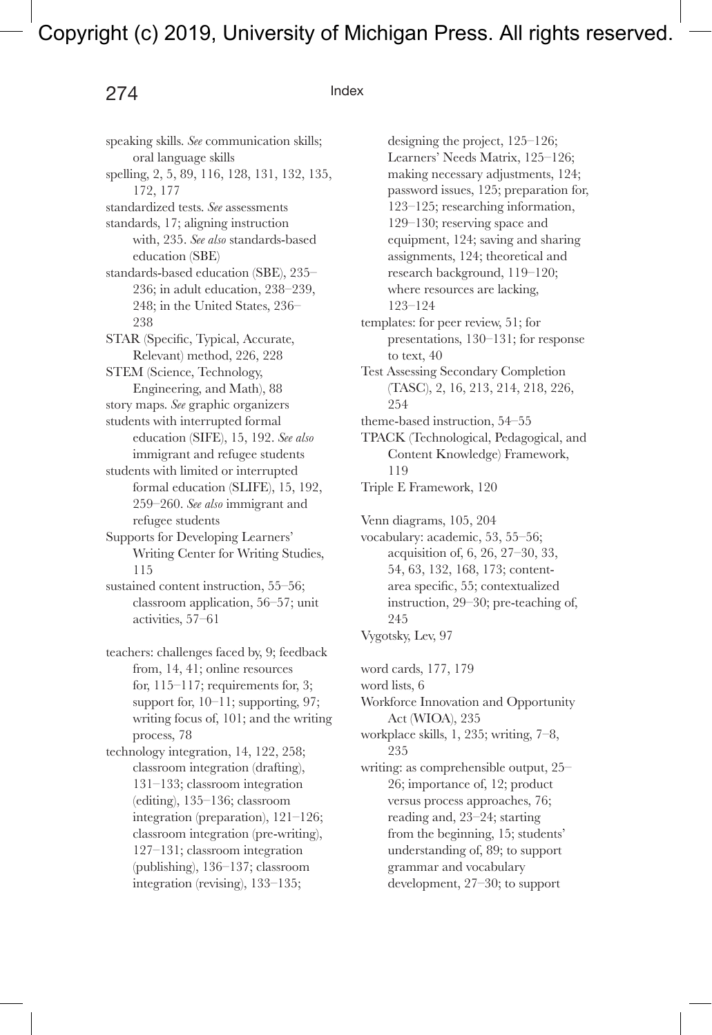### 274 Index

speaking skills. *See* communication skills; oral language skills spelling, 2, 5, 89, 116, 128, 131, 132, 135, 172, 177 standardized tests. *See* assessments standards, 17; aligning instruction with, 235. *See also* standards-based education (SBE) standards-based education (SBE), 235– 236; in adult education, 238–239, 248; in the United States, 236– 238 STAR (Specific, Typical, Accurate, Relevant) method, 226, 228 STEM (Science, Technology, Engineering, and Math), 88 story maps. *See* graphic organizers students with interrupted formal education (SIFE), 15, 192. *See also*  immigrant and refugee students students with limited or interrupted formal education (SLIFE), 15, 192, 259–260. *See also* immigrant and refugee students Supports for Developing Learners' Writing Center for Writing Studies, 115 sustained content instruction, 55–56; classroom application, 56–57; unit activities, 57–61 teachers: challenges faced by, 9; feedback from, 14, 41; online resources for,  $115-117$ ; requirements for, 3; support for, 10–11; supporting, 97; writing focus of, 101; and the writing process, 78 technology integration, 14, 122, 258; classroom integration (drafting), 131–133; classroom integration (editing), 135–136; classroom integration (preparation), 121–126; classroom integration (pre-writing), 127–131; classroom integration (publishing), 136–137; classroom integration (revising), 133–135;

designing the project, 125–126; Learners' Needs Matrix, 125–126; making necessary adjustments, 124; password issues, 125; preparation for, 123–125; researching information, 129–130; reserving space and equipment, 124; saving and sharing assignments, 124; theoretical and research background, 119–120; where resources are lacking, 123–124

templates: for peer review, 51; for presentations, 130–131; for response to text, 40

Test Assessing Secondary Completion (TASC), 2, 16, 213, 214, 218, 226, 254

theme-based instruction, 54–55

TPACK (Technological, Pedagogical, and Content Knowledge) Framework, 119

Triple E Framework, 120

Venn diagrams, 105, 204

vocabulary: academic, 53, 55–56; acquisition of, 6, 26, 27–30, 33, 54, 63, 132, 168, 173; contentarea specific, 55; contextualized instruction, 29–30; pre-teaching of, 245

Vygotsky, Lev, 97

word cards, 177, 179

word lists, 6

Workforce Innovation and Opportunity Act (WIOA), 235

workplace skills, 1, 235; writing, 7–8, 235

writing: as comprehensible output, 25– 26; importance of, 12; product versus process approaches, 76; reading and, 23–24; starting from the beginning, 15; students' understanding of, 89; to support grammar and vocabulary development, 27–30; to support